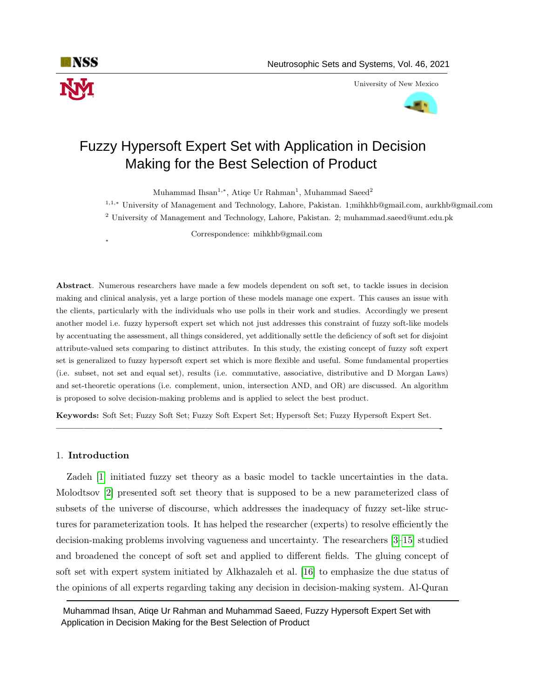

University of New Mexico



# Fuzzy Hypersoft Expert Set with Application in Decision Making for the Best Selection of Product

Muhammad Ihsan<sup>1,∗</sup>, Atiqe Ur Rahman<sup>1</sup>, Muhammad Saeed<sup>2</sup>

<sup>1</sup>,1,<sup>∗</sup> University of Management and Technology, Lahore, Pakistan. 1;mihkhb@gmail.com, aurkhb@gmail.com <sup>2</sup> University of Management and Technology, Lahore, Pakistan. 2; muhammad.saeed@umt.edu.pk

Correspondence: mihkhb@gmail.com

Abstract. Numerous researchers have made a few models dependent on soft set, to tackle issues in decision making and clinical analysis, yet a large portion of these models manage one expert. This causes an issue with the clients, particularly with the individuals who use polls in their work and studies. Accordingly we present another model i.e. fuzzy hypersoft expert set which not just addresses this constraint of fuzzy soft-like models by accentuating the assessment, all things considered, yet additionally settle the deficiency of soft set for disjoint attribute-valued sets comparing to distinct attributes. In this study, the existing concept of fuzzy soft expert set is generalized to fuzzy hypersoft expert set which is more flexible and useful. Some fundamental properties (i.e. subset, not set and equal set), results (i.e. commutative, associative, distributive and D Morgan Laws) and set-theoretic operations (i.e. complement, union, intersection AND, and OR) are discussed. An algorithm is proposed to solve decision-making problems and is applied to select the best product.

Keywords: Soft Set; Fuzzy Soft Set; Fuzzy Soft Expert Set; Hypersoft Set; Fuzzy Hypersoft Expert Set.

—————————————————————————————————————————-

## 1. Introduction

∗

Zadeh [\[1\]](#page-14-0) initiated fuzzy set theory as a basic model to tackle uncertainties in the data. Molodtsov [\[2\]](#page-14-1) presented soft set theory that is supposed to be a new parameterized class of subsets of the universe of discourse, which addresses the inadequacy of fuzzy set-like structures for parameterization tools. It has helped the researcher (experts) to resolve efficiently the decision-making problems involving vagueness and uncertainty. The researchers [\[3–](#page-14-2)[15\]](#page-15-0) studied and broadened the concept of soft set and applied to different fields. The gluing concept of soft set with expert system initiated by Alkhazaleh et al. [\[16\]](#page-15-1) to emphasize the due status of the opinions of all experts regarding taking any decision in decision-making system. Al-Quran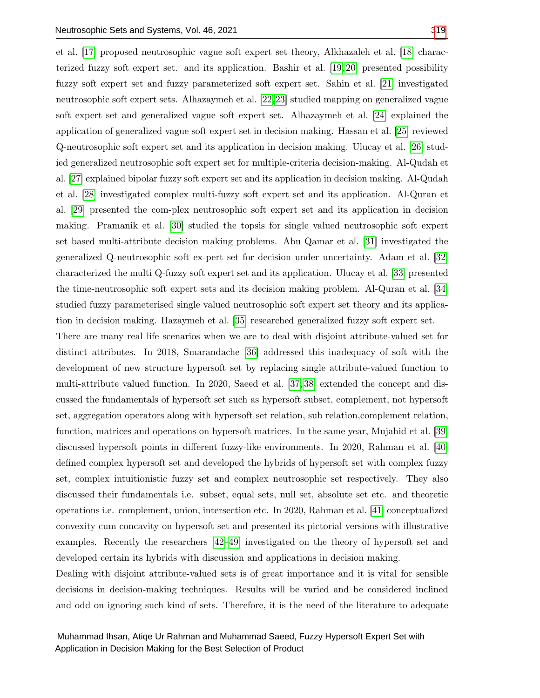et al. [\[17\]](#page-15-2) proposed neutrosophic vague soft expert set theory, Alkhazaleh et al. [\[18\]](#page-15-3) characterized fuzzy soft expert set. and its application. Bashir et al. [\[19,](#page-15-4) [20\]](#page-15-5) presented possibility fuzzy soft expert set and fuzzy parameterized soft expert set. Sahin et al. [\[21\]](#page-15-6) investigated neutrosophic soft expert sets. Alhazaymeh et al. [\[22,](#page-15-7)[23\]](#page-15-8) studied mapping on generalized vague soft expert set and generalized vague soft expert set. Alhazaymeh et al. [\[24\]](#page-15-9) explained the application of generalized vague soft expert set in decision making. Hassan et al. [\[25\]](#page-15-10) reviewed Q-neutrosophic soft expert set and its application in decision making. Ulucay et al. [\[26\]](#page-15-11) studied generalized neutrosophic soft expert set for multiple-criteria decision-making. Al-Qudah et al. [\[27\]](#page-15-12) explained bipolar fuzzy soft expert set and its application in decision making. Al-Qudah et al. [\[28\]](#page-15-13) investigated complex multi-fuzzy soft expert set and its application. Al-Quran et al. [\[29\]](#page-15-14) presented the com-plex neutrosophic soft expert set and its application in decision making. Pramanik et al. [\[30\]](#page-15-15) studied the topsis for single valued neutrosophic soft expert set based multi-attribute decision making problems. Abu Qamar et al. [\[31\]](#page-16-0) investigated the generalized Q-neutrosophic soft ex-pert set for decision under uncertainty. Adam et al. [\[32\]](#page-16-1) characterized the multi Q-fuzzy soft expert set and its application. Ulucay et al. [\[33\]](#page-16-2) presented the time-neutrosophic soft expert sets and its decision making problem. Al-Quran et al. [\[34\]](#page-16-3) studied fuzzy parameterised single valued neutrosophic soft expert set theory and its application in decision making. Hazaymeh et al. [\[35\]](#page-16-4) researched generalized fuzzy soft expert set.

There are many real life scenarios when we are to deal with disjoint attribute-valued set for distinct attributes. In 2018, Smarandache [\[36\]](#page-16-5) addressed this inadequacy of soft with the development of new structure hypersoft set by replacing single attribute-valued function to multi-attribute valued function. In 2020, Saeed et al. [\[37,](#page-16-6) [38\]](#page-16-7) extended the concept and discussed the fundamentals of hypersoft set such as hypersoft subset, complement, not hypersoft set, aggregation operators along with hypersoft set relation, sub relation,complement relation, function, matrices and operations on hypersoft matrices. In the same year, Mujahid et al. [\[39\]](#page-16-8) discussed hypersoft points in different fuzzy-like environments. In 2020, Rahman et al. [\[40\]](#page-16-9) defined complex hypersoft set and developed the hybrids of hypersoft set with complex fuzzy set, complex intuitionistic fuzzy set and complex neutrosophic set respectively. They also discussed their fundamentals i.e. subset, equal sets, null set, absolute set etc. and theoretic operations i.e. complement, union, intersection etc. In 2020, Rahman et al. [\[41\]](#page-16-10) conceptualized convexity cum concavity on hypersoft set and presented its pictorial versions with illustrative examples. Recently the researchers [\[42–](#page-16-11)[49\]](#page-17-1) investigated on the theory of hypersoft set and developed certain its hybrids with discussion and applications in decision making.

Dealing with disjoint attribute-valued sets is of great importance and it is vital for sensible decisions in decision-making techniques. Results will be varied and be considered inclined and odd on ignoring such kind of sets. Therefore, it is the need of the literature to adequate

Muhammad Ihsan, Atiqe Ur Rahman and Muhammad Saeed, Fuzzy Hypersoft Expert Set with Application in Decision Making for the Best Selection of Product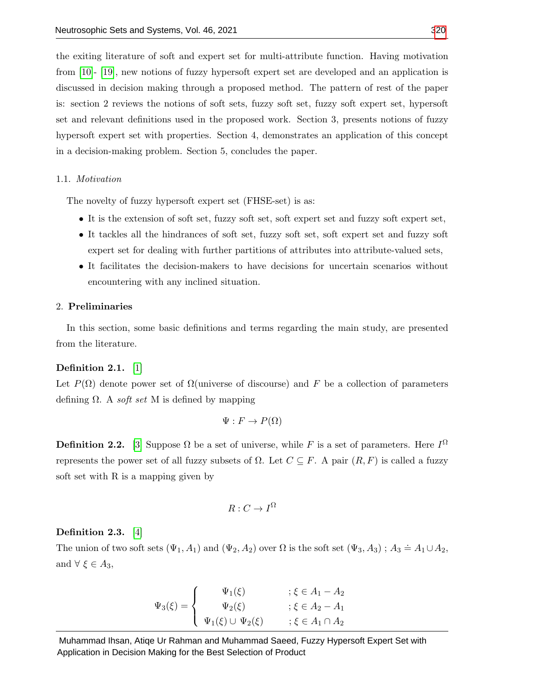the exiting literature of soft and expert set for multi-attribute function. Having motivation from [\[10\]](#page-15-16)- [\[19\]](#page-15-4), new notions of fuzzy hypersoft expert set are developed and an application is discussed in decision making through a proposed method. The pattern of rest of the paper is: section 2 reviews the notions of soft sets, fuzzy soft set, fuzzy soft expert set, hypersoft set and relevant definitions used in the proposed work. Section 3, presents notions of fuzzy hypersoft expert set with properties. Section 4, demonstrates an application of this concept in a decision-making problem. Section 5, concludes the paper.

## 1.1. Motivation

The novelty of fuzzy hypersoft expert set (FHSE-set) is as:

- It is the extension of soft set, fuzzy soft set, soft expert set and fuzzy soft expert set,
- It tackles all the hindrances of soft set, fuzzy soft set, soft expert set and fuzzy soft expert set for dealing with further partitions of attributes into attribute-valued sets,
- It facilitates the decision-makers to have decisions for uncertain scenarios without encountering with any inclined situation.

#### 2. Preliminaries

In this section, some basic definitions and terms regarding the main study, are presented from the literature.

# Definition 2.1. [\[1\]](#page-14-0)

Let  $P(\Omega)$  denote power set of  $\Omega$ (universe of discourse) and F be a collection of parameters defining  $\Omega$ . A *soft set* M is defined by mapping

$$
\Psi: F \to P(\Omega)
$$

**Definition 2.2.** [\[3\]](#page-14-2) Suppose  $\Omega$  be a set of universe, while F is a set of parameters. Here  $I^{\Omega}$ represents the power set of all fuzzy subsets of  $Ω$ . Let  $C \subseteq F$ . A pair  $(R, F)$  is called a fuzzy soft set with R is a mapping given by

$$
R:C\to I^{\Omega}
$$

## Definition 2.3. [\[4\]](#page-14-3)

The union of two soft sets  $(\Psi_1, A_1)$  and  $(\Psi_2, A_2)$  over  $\Omega$  is the soft set  $(\Psi_3, A_3)$ ;  $A_3 \doteq A_1 \cup A_2$ , and  $\forall \xi \in A_3$ ,

$$
\Psi_3(\xi) = \begin{cases}\n\Psi_1(\xi) & ; \xi \in A_1 - A_2 \\
\Psi_2(\xi) & ; \xi \in A_2 - A_1 \\
\Psi_1(\xi) \cup \Psi_2(\xi) & ; \xi \in A_1 \cap A_2\n\end{cases}
$$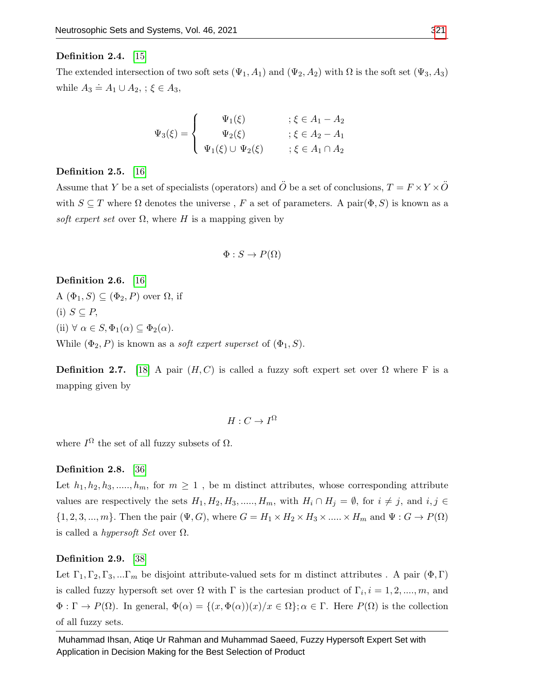## Definition 2.4. [\[15\]](#page-15-0)

The extended intersection of two soft sets  $(\Psi_1, A_1)$  and  $(\Psi_2, A_2)$  with  $\Omega$  is the soft set  $(\Psi_3, A_3)$ while  $A_3 \doteq A_1 \cup A_2$ , ;  $\xi \in A_3$ ,

$$
\Psi_3(\xi) = \begin{cases}\n\Psi_1(\xi) & ; \xi \in A_1 - A_2 \\
\Psi_2(\xi) & ; \xi \in A_2 - A_1 \\
\Psi_1(\xi) \cup \Psi_2(\xi) & ; \xi \in A_1 \cap A_2\n\end{cases}
$$

#### Definition 2.5. [\[16\]](#page-15-1)

Assume that Y be a set of specialists (operators) and  $\ddot{O}$  be a set of conclusions,  $T = F \times Y \times \ddot{O}$ with  $S \subseteq T$  where  $\Omega$  denotes the universe, F a set of parameters. A pair $(\Phi, S)$  is known as a soft expert set over  $\Omega$ , where H is a mapping given by

$$
\Phi: S \to P(\Omega)
$$

Definition 2.6. [\[16\]](#page-15-1)

A  $(\Phi_1, S) \subseteq (\Phi_2, P)$  over  $\Omega$ , if

(i)  $S \subseteq P$ ,

(ii)  $\forall \alpha \in S, \Phi_1(\alpha) \subseteq \Phi_2(\alpha)$ .

While  $(\Phi_2, P)$  is known as a *soft expert superset* of  $(\Phi_1, S)$ .

**Definition 2.7.** [\[18\]](#page-15-3) A pair  $(H, C)$  is called a fuzzy soft expert set over  $\Omega$  where F is a mapping given by

$$
H:C\to I^{\Omega}
$$

where  $I^{\Omega}$  the set of all fuzzy subsets of  $\Omega$ .

## Definition 2.8. [\[36\]](#page-16-5)

Let  $h_1, h_2, h_3, \ldots, h_m$ , for  $m \geq 1$ , be m distinct attributes, whose corresponding attribute values are respectively the sets  $H_1, H_2, H_3, \ldots, H_m$ , with  $H_i \cap H_j = \emptyset$ , for  $i \neq j$ , and  $i, j \in$  ${1, 2, 3, ..., m}$ . Then the pair  $(\Psi, G)$ , where  $G = H_1 \times H_2 \times H_3 \times \dots \times H_m$  and  $\Psi : G \to P(\Omega)$ is called a *hypersoft Set* over  $\Omega$ .

## Definition 2.9. [\[38\]](#page-16-7)

Let  $\Gamma_1, \Gamma_2, \Gamma_3, \dots \Gamma_m$  be disjoint attribute-valued sets for m distinct attributes. A pair  $(\Phi, \Gamma)$ is called fuzzy hypersoft set over  $\Omega$  with  $\Gamma$  is the cartesian product of  $\Gamma_i$ ,  $i = 1, 2, ..., m$ , and  $\Phi : \Gamma \to P(\Omega)$ . In general,  $\Phi(\alpha) = \{(x, \Phi(\alpha))(x)/x \in \Omega\}; \alpha \in \Gamma$ . Here  $P(\Omega)$  is the collection of all fuzzy sets.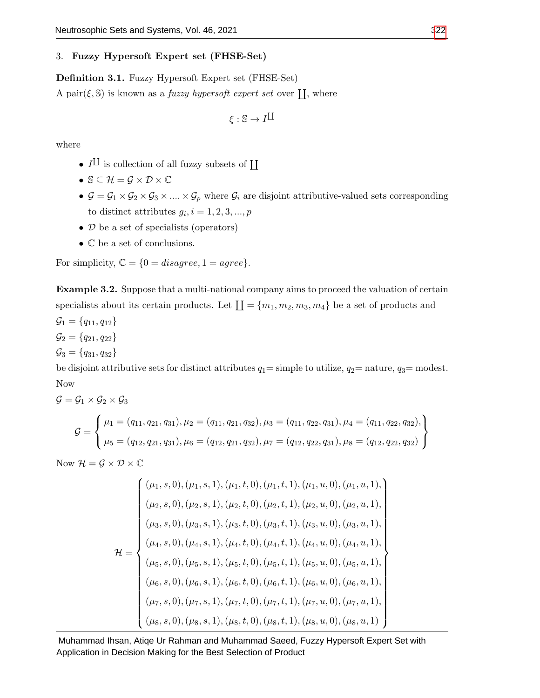## 3. Fuzzy Hypersoft Expert set (FHSE-Set)

<span id="page-4-1"></span>Definition 3.1. Fuzzy Hypersoft Expert set (FHSE-Set)

A pair $(\xi, \mathbb{S})$  is known as a *fuzzy hypersoft expert set* over  $\prod$ , where

$$
\xi:\mathbb{S}\to I^{\coprod}
$$

where

- $I^{\text{II}}$  is collection of all fuzzy subsets of  $\text{II}$
- $\mathbb{S} \subseteq \mathcal{H} = \mathcal{G} \times \mathcal{D} \times \mathbb{C}$
- $G = G_1 \times G_2 \times G_3 \times \ldots \times G_p$  where  $G_i$  are disjoint attributive-valued sets corresponding to distinct attributes  $g_i$ ,  $i = 1, 2, 3, ..., p$
- D be a set of specialists (operators)
- C be a set of conclusions.

For simplicity,  $\mathbb{C} = \{0 = disagree, 1 = agree\}.$ 

<span id="page-4-0"></span>Example 3.2. Suppose that a multi-national company aims to proceed the valuation of certain specialists about its certain products. Let  $\prod = \{m_1, m_2, m_3, m_4\}$  be a set of products and

 $\mathcal{G}_1 = \{q_{11}, q_{12}\}\$ 

 $\mathcal{G}_2 = \{q_{21}, q_{22}\}\$ 

 $\mathcal{G}_3 = \{q_{31}, q_{32}\}\$ 

be disjoint attributive sets for distinct attributes  $q_1 =$  simple to utilize,  $q_2 =$  nature,  $q_3 =$  modest. Now

$$
G = G_1 \times G_2 \times G_3
$$
  
\n
$$
G = \begin{cases} \mu_1 = (q_{11}, q_{21}, q_{31}), \mu_2 = (q_{11}, q_{21}, q_{32}), \mu_3 = (q_{11}, q_{22}, q_{31}), \mu_4 = (q_{11}, q_{22}, q_{32}), \\ \mu_5 = (q_{12}, q_{21}, q_{31}), \mu_6 = (q_{12}, q_{21}, q_{32}), \mu_7 = (q_{12}, q_{22}, q_{31}), \mu_8 = (q_{12}, q_{22}, q_{32}) \end{cases}
$$

Now  $\mathcal{H} = \mathcal{G} \times \mathcal{D} \times \mathbb{C}$ 

$$
\mathcal{H} = \begin{cases}\n(\mu_1, s, 0), (\mu_1, s, 1), (\mu_1, t, 0), (\mu_1, t, 1), (\mu_1, u, 0), (\mu_1, u, 1), \\
(\mu_2, s, 0), (\mu_2, s, 1), (\mu_2, t, 0), (\mu_2, t, 1), (\mu_2, u, 0), (\mu_2, u, 1), \\
(\mu_3, s, 0), (\mu_3, s, 1), (\mu_3, t, 0), (\mu_3, t, 1), (\mu_3, u, 0), (\mu_3, u, 1), \\
(\mu_4, s, 0), (\mu_4, s, 1), (\mu_4, t, 0), (\mu_4, t, 1), (\mu_4, u, 0), (\mu_4, u, 1), \\
(\mu_5, s, 0), (\mu_5, s, 1), (\mu_5, t, 0), (\mu_5, t, 1), (\mu_5, u, 0), (\mu_5, u, 1), \\
(\mu_6, s, 0), (\mu_6, s, 1), (\mu_6, t, 0), (\mu_6, t, 1), (\mu_6, u, 0), (\mu_6, u, 1), \\
(\mu_8, s, 0), (\mu_8, s, 1), (\mu_8, t, 0), (\mu_8, t, 1), (\mu_8, u, 0), (\mu_8, u, 1)\n\end{cases}
$$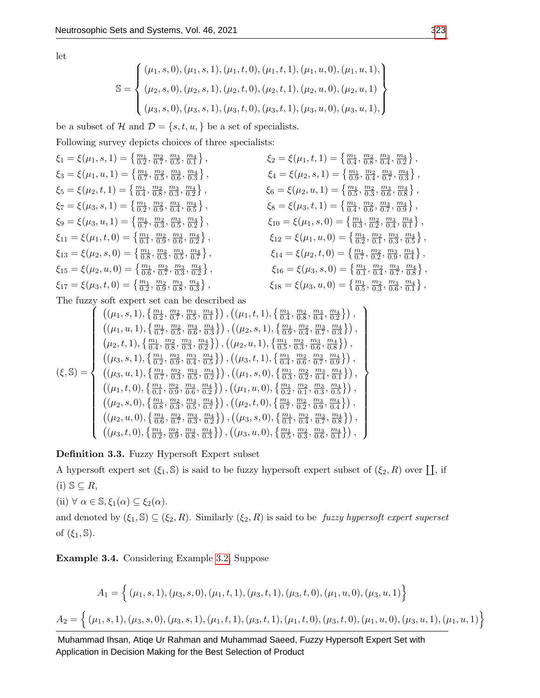$$
\mathbb{S} = \left\{ \begin{aligned} & (\mu_1, s, 0), (\mu_1, s, 1), (\mu_1, t, 0), (\mu_1, t, 1), (\mu_1, u, 0), (\mu_1, u, 1), \\ & (\mu_2, s, 0), (\mu_2, s, 1), (\mu_2, t, 0), (\mu_2, t, 1), (\mu_2, u, 0), (\mu_2, u, 1) \\ & (\mu_3, s, 0), (\mu_3, s, 1), (\mu_3, t, 0), (\mu_3, t, 1), (\mu_3, u, 0), (\mu_3, u, 1), \end{aligned} \right\}
$$

be a subset of H and  $\mathcal{D} = \{s, t, u, \}$  be a set of specialists.

Following survey depicts choices of three specialists:

$$
\xi_1 = \xi(\mu_1, s, 1) = \begin{Bmatrix} \frac{m_1}{0.2}, \frac{m_2}{0.7}, \frac{m_3}{0.5}, \frac{m_4}{0.1} \end{Bmatrix},
$$
\n
$$
\xi_2 = \xi(\mu_1, t, 1) = \begin{Bmatrix} \frac{m_1}{0.4}, \frac{m_2}{0.8}, \frac{m_3}{0.4}, \frac{m_4}{0.2} \end{Bmatrix},
$$
\n
$$
\xi_3 = \xi(\mu_1, u, 1) = \begin{Bmatrix} \frac{m_1}{0.7}, \frac{m_2}{0.5}, \frac{m_3}{0.6}, \frac{m_4}{0.3} \end{Bmatrix},
$$
\n
$$
\xi_4 = \xi(\mu_2, s, 1) = \begin{Bmatrix} \frac{m_1}{0.5}, \frac{m_2}{0.3}, \frac{m_3}{0.4}, \frac{m_4}{0.7}, \frac{m_5}{0.3} \end{Bmatrix},
$$
\n
$$
\xi_5 = \xi(\mu_2, t, 1) = \begin{Bmatrix} \frac{m_1}{0.4}, \frac{m_2}{0.8}, \frac{m_3}{0.3}, \frac{m_4}{0.2} \end{Bmatrix},
$$
\n
$$
\xi_6 = \xi(\mu_2, u, 1) = \begin{Bmatrix} \frac{m_1}{0.5}, \frac{m_2}{0.3}, \frac{m_3}{0.6}, \frac{m_4}{0.8} \end{Bmatrix},
$$
\n
$$
\xi_7 = \xi(\mu_3, s, 1) = \begin{Bmatrix} \frac{m_1}{0.2}, \frac{m_2}{0.9}, \frac{m_3}{0.4}, \frac{m_4}{0.5} \end{Bmatrix},
$$
\n
$$
\xi_8 = \xi(\mu_3, t, 1) = \begin{Bmatrix} \frac{m_1}{0.1}, \frac{m_2}{0.2}, \frac{m_3}{0.3}, \frac{m_4}{0.2} \end{Bmatrix},
$$
\n
$$
\xi_{10} = \xi(\mu_1, s, 0) = \begin{Bmatrix} \frac{m_1}{0.3}, \frac{m_2}{0.2}, \frac{m_3}{0.4}, \frac{m_4}{0.1} \end{Bmatrix},
$$
\n<math display="block</math>

The fuzzy soft expert set can be described as

$$
\left\{\n\begin{array}{l}\n\left(\n(\mu_1, s, 1), \{\frac{m_1}{0.2}, \frac{m_2}{0.7}, \frac{m_3}{0.5}, \frac{m_4}{0.1}\}\n\right), \left(\n(\mu_1, t, 1), \{\frac{m_1}{0.4}, \frac{m_2}{0.8}, \frac{m_3}{0.4}, \frac{m_4}{0.2}\}\n\right), \\
\left(\n(\mu_1, u, 1), \{\frac{m_1}{0.7}, \frac{m_2}{0.5}, \frac{m_3}{0.6}, \frac{m_4}{0.3}\}\n\right), \left(\n(\mu_2, s, 1), \{\frac{m_1}{0.9}, \frac{m_2}{0.7}, \frac{m_3}{0.3}\}\n\right), \\
\left(\n(\mu_2, t, 1), \{\frac{m_1}{0.4}, \frac{m_2}{0.8}, \frac{m_3}{0.3}, \frac{m_4}{0.2}\}\n\right), \left(\n(\mu_2, u, 1), \{\frac{m_1}{0.5}, \frac{m_2}{0.3}, \frac{m_3}{0.6}, \frac{m_4}{0.8}\}\n\right), \\
\left(\n(\mu_3, s, 1), \{\frac{m_1}{0.2}, \frac{m_2}{0.9}, \frac{m_3}{0.4}, \frac{m_4}{0.5}\}\n\right), \left(\n(\mu_3, t, 1), \{\frac{m_1}{0.4}, \frac{m_2}{0.6}, \frac{m_3}{0.7}, \frac{m_4}{0.9}\}\n\right), \\
\left(\n(\mu_1, t, 0), \{\frac{m_1}{0.1}, \frac{m_2}{0.2}, \frac{m_3}{0.6}, \frac{m_4}{0.2}\}\n\right), \left(\n(\mu_1, u, 0), \{\frac{m_1}{0.2}, \frac{m_2}{0.1}, \frac{m_3}{0.3}, \frac{m_4}{0.5}\}\n\right), \\
\left(\n(\mu_2, s, 0), \{\frac{m_1}{0.8}, \frac{m_2}{0.3}, \frac{m_3}{0.5}, \frac{m_4}{0.7}\}\n\right), \left(\n(\mu_2, t, 0), \{\frac{m_1}{0.7}, \frac{m_2}{0.2}, \frac{m_3}{0.9}, \
$$

Definition 3.3. Fuzzy Hypersoft Expert subset

A hypersoft expert set  $(\xi_1, \mathbb{S})$  is said to be fuzzy hypersoft expert subset of  $(\xi_2, R)$  over  $\coprod$ , if (i)  $\mathbb{S} \subseteq R$ ,

(ii) 
$$
\forall \alpha \in \mathbb{S}, \xi_1(\alpha) \subseteq \xi_2(\alpha)
$$
.

and denoted by  $(\xi_1, \mathbb{S}) \subseteq (\xi_2, R)$ . Similarly  $(\xi_2, R)$  is said to be fuzzy hypersoft expert superset of  $(\xi_1, \mathbb{S})$ .

Example 3.4. Considering Example [3.2,](#page-4-0) Suppose

$$
A_1 = \left\{ (\mu_1, s, 1), (\mu_3, s, 0), (\mu_1, t, 1), (\mu_3, t, 1), (\mu_3, t, 0), (\mu_1, u, 0), (\mu_3, u, 1) \right\}
$$
  

$$
A_2 = \left\{ (\mu_1, s, 1), (\mu_3, s, 0), (\mu_3, s, 1), (\mu_1, t, 1), (\mu_3, t, 1), (\mu_1, t, 0), (\mu_3, t, 0), (\mu_1, u, 0), (\mu_3, u, 1), (\mu_1, u, 1) \right\}
$$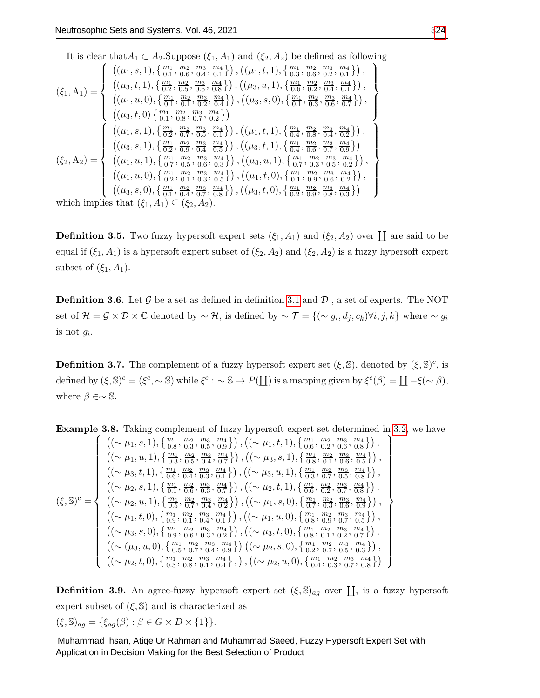It is clear that 
$$
A_1 \,\subset A_2
$$
. Suppose  $(\xi_1, A_1)$  and  $(\xi_2, A_2)$  be defined as following  
\n
$$
(\xi_1, A_1) = \begin{cases}\n((\mu_1, s, 1), \{\frac{m_1}{0.1}, \frac{m_2}{0.6}, \frac{m_3}{0.4}, \frac{m_4}{0.1}\}), ((\mu_1, t, 1), \{\frac{m_1}{0.3}, \frac{m_2}{0.6}, \frac{m_3}{0.2}, \frac{m_4}{0.1}\}), \\
((\mu_3, t, 1), \{\frac{m_1}{0.2}, \frac{m_2}{0.5}, \frac{m_3}{0.8}, \frac{m_4}{0.8}\}), ((\mu_3, u, 1), \{\frac{m_1}{0.6}, \frac{m_2}{0.2}, \frac{m_3}{0.4}, \frac{m_4}{0.1}\}), \\
((\mu_1, u, 0), \{\frac{m_1}{0.1}, \frac{m_2}{0.2}, \frac{m_3}{0.4}, \frac{m_4}{0.2}\}), ((\mu_3, s, 0), \{\frac{m_1}{0.1}, \frac{m_2}{0.3}, \frac{m_3}{0.6}, \frac{m_4}{0.7}\}), \\
((\mu_3, t, 0), \{\frac{m_1}{0.1}, \frac{m_2}{0.2}, \frac{m_3}{0.5}, \frac{m_4}{0.1}\}), ((\mu_1, t, 1), \{\frac{m_1}{0.4}, \frac{m_2}{0.8}, \frac{m_3}{0.4}, \frac{m_4}{0.2}\}), \\
((\mu_3, s, 1), \{\frac{m_1}{0.2}, \frac{m_2}{0.9}, \frac{m_3}{0.4}, \frac{m_4}{0.5}\}), ((\mu_3, t, 1), \{\frac{m_1}{0.4}, \frac{m_2}{0.8}, \frac{m_3}{0.7}, \frac{m_4}{0.9}\}), \\
((\mu_1, u, 1), \{\frac{m_1}{0.7}, \frac{m_2}{0.5}, \frac{m_3}{0.6}, \frac{m_4}{0.3}\}), ((\mu_3, u, 1), \{\frac{m_1}{0.7}, \frac{m_2}{0.3}, \frac{m_4}{0.5}\}), \\
((\mu_1, u,
$$

which implies that  $(\zeta_1, A_1) \subseteq (\zeta_2, A_2)$ .

**Definition 3.5.** Two fuzzy hypersoft expert sets  $(\xi_1, A_1)$  and  $(\xi_2, A_2)$  over  $\coprod$  are said to be equal if  $(\xi_1, A_1)$  is a hypersoft expert subset of  $(\xi_2, A_2)$  and  $(\xi_2, A_2)$  is a fuzzy hypersoft expert subset of  $(\xi_1, A_1)$ .

**Definition 3.6.** Let  $\mathcal{G}$  be a set as defined in definition [3.1](#page-4-1) and  $\mathcal{D}$ , a set of experts. The NOT set of  $\mathcal{H} = \mathcal{G} \times \mathcal{D} \times \mathbb{C}$  denoted by  $\sim \mathcal{H}$ , is defined by  $\sim \mathcal{T} = \{ (\sim g_i, d_j, c_k) \forall i, j, k \}$  where  $\sim g_i$ is not  $g_i$ .

**Definition 3.7.** The complement of a fuzzy hypersoft expert set  $(\xi, \mathbb{S})$ , denoted by  $(\xi, \mathbb{S})^c$ , is defined by  $(\xi, \mathbb{S})^c = (\xi^c, \sim \mathbb{S})$  while  $\xi^c : \sim \mathbb{S} \to P(\coprod)$  is a mapping given by  $\xi^c(\beta) = \coprod -\xi(\sim \beta)$ , where  $\beta \in \sim \mathbb{S}$ .

**Example 3.8.** Taking complement of fuzzy hypersoft expert set determined in [3.2,](#page-4-0) we have

$$
\left\{\n\begin{array}{l}\n\left((\sim \mu_{1}, s, 1), \{\frac{m_{1}}{0.8}, \frac{m_{2}}{0.3}, \frac{m_{3}}{0.5}, \frac{m_{4}}{0.9}\}\right), \left((\sim \mu_{1}, t, 1), \{\frac{m_{1}}{0.6}, \frac{m_{2}}{0.2}, \frac{m_{3}}{0.6}, \frac{m_{4}}{0.8}\}\right), \\
\left((\sim \mu_{1}, u, 1), \{\frac{m_{1}}{0.3}, \frac{m_{2}}{0.5}, \frac{m_{3}}{0.4}, \frac{m_{4}}{0.7}\}\right), \left((\sim \mu_{3}, s, 1), \{\frac{m_{1}}{0.8}, \frac{m_{2}}{0.1}, \frac{m_{2}}{0.6}, \frac{m_{4}}{0.5}\}\right), \\
\left((\sim \mu_{3}, t, 1), \{\frac{m_{1}}{0.6}, \frac{m_{2}}{0.4}, \frac{m_{3}}{0.3}, \frac{m_{4}}{0.1}\}\right), \left((\sim \mu_{3}, u, 1), \{\frac{m_{1}}{0.3}, \frac{m_{2}}{0.7}, \frac{m_{3}}{0.5}, \frac{m_{4}}{0.8}\}\right), \\
\left((\sim \mu_{2}, s, 1), \{\frac{m_{1}}{0.1}, \frac{m_{2}}{0.6}, \frac{m_{3}}{0.3}, \frac{m_{4}}{0.7}\}\right), \left((\sim \mu_{2}, t, 1), \{\frac{m_{1}}{0.6}, \frac{m_{2}}{0.2}, \frac{m_{3}}{0.7}, \frac{m_{4}}{0.8}\}\right), \\
\left((\sim \mu_{2}, u, 1), \{\frac{m_{1}}{0.5}, \frac{m_{2}}{0.1}, \frac{m_{3}}{0.4}, \frac{m_{4}}{0.1}\}\right), \left((\sim \mu_{1}, s, 0), \{\frac{m_{1}}{0.7}, \frac{m_{2}}{0.3}, \frac{m_{4}}{0.8}\}\right), \\
\left((\sim \mu_{1}, t, 0), \{\frac{m_{1}}{0.9}, \frac{m_{2}}{0.6}, \frac{m_{3}}{0.3}, \frac{m_{4}}{0.1}\}\right), \left((\sim \mu_{1}, u, 0), \{\
$$

**Definition 3.9.** An agree-fuzzy hypersoft expert set  $(\xi, \mathbb{S})_{ag}$  over  $\prod$ , is a fuzzy hypersoft expert subset of  $(\xi,\mathbb{S})$  and is characterized as  $(\xi, \mathbb{S})_{ag} = {\xi_{ag}(\beta) : \beta \in G \times D \times \{1\}}.$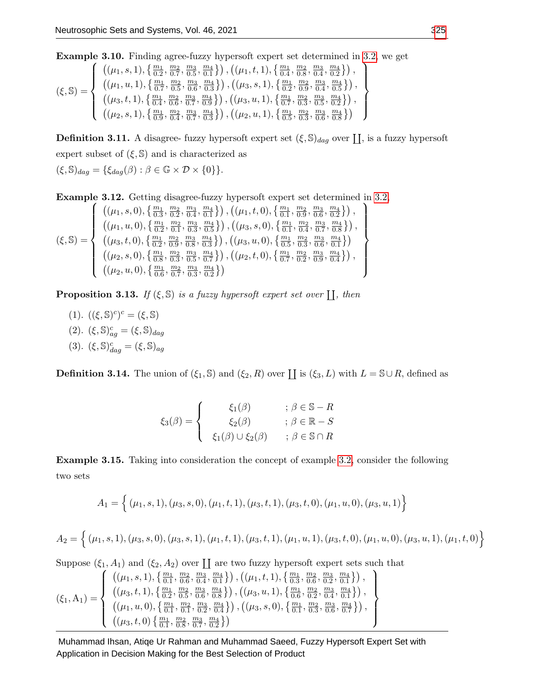Example 3.10. Finding agree-fuzzy hypersoft expert set determined in [3.2,](#page-4-0) we get

 $(\xi, \mathbb{S}) =$  $\sqrt{ }$  $\int$  $\overline{\mathcal{L}}$  $((\mu_1, s, 1), \{\frac{m_1}{0.2}, \frac{m_2}{0.7}, \frac{m_3}{0.5}, \frac{m_4}{0.1}\})$ ,  $((\mu_1, t, 1), \{\frac{m_1}{0.4}, \frac{m_2}{0.8}, \frac{m_3}{0.4}, \frac{m_4}{0.2}\})$ ,  $((\mu_1, u, 1), \{\frac{m_1}{0.7}, \frac{m_2}{0.5}, \frac{m_3}{0.6}, \frac{m_4}{0.3}\})$ ,  $((\mu_3, s, 1), \{\frac{m_1}{0.2}, \frac{m_2}{0.9}, \frac{m_3}{0.4}, \frac{m_4}{0.5}\})$ ,  $\big((\mu_3,t,1),\{\frac{m_1}{0.4},\frac{m_2}{0.6},\frac{m_3}{0.7},\frac{m_4}{0.9}\}\big)$  ,  $\big((\mu_3,u,1),\{\frac{m_1}{0.7},\frac{m_2}{0.3},\frac{m_3}{0.5},\frac{m_4}{0.2}\}\big)$ ,  $((\mu_2,s,1),\{\frac{m_1}{0.9},\frac{m_2}{0.4},\frac{m_3}{0.7},\frac{m_4}{0.3}\})$ ,  $((\mu_2,u,1),\{\frac{m_1}{0.5},\frac{m_2}{0.3},\frac{m_3}{0.6},\frac{m_4}{0.8}\})$  $\mathcal{L}$  $\overline{\mathcal{L}}$  $\int$ 

**Definition 3.11.** A disagree- fuzzy hypersoft expert set  $(\xi, \mathbb{S})_{dag}$  over  $\prod$ , is a fuzzy hypersoft expert subset of  $(\xi, \mathbb{S})$  and is characterized as  $(\xi, \mathbb{S})_{dag} = {\xi_{dag}(\beta) : \beta \in \mathbb{G} \times \mathcal{D} \times \{0\}}.$ 

Example 3.12. Getting disagree-fuzzy hypersoft expert set determined in [3.2,](#page-4-0)

$$
(\xi, \mathbb{S}) = \left\{ \begin{array}{l} \left( (\mu_1, s, 0), \left\{ \frac{m_1}{0.3}, \frac{m_2}{0.2}, \frac{m_3}{0.4}, \frac{m_4}{0.1} \right\} \right), \left( (\mu_1, t, 0), \left\{ \frac{m_1}{0.1}, \frac{m_2}{0.9}, \frac{m_3}{0.6}, \frac{m_4}{0.2} \right\} \right), \\ \left( (\mu_1, u, 0), \left\{ \frac{m_1}{0.2}, \frac{m_2}{0.1}, \frac{m_3}{0.3}, \frac{m_4}{0.5} \right\} \right), \left( (\mu_3, s, 0), \left\{ \frac{m_1}{0.1}, \frac{m_2}{0.4}, \frac{m_3}{0.7}, \frac{m_4}{0.8} \right\} \right), \\ \left( (\mu_3, t, 0), \left\{ \frac{m_1}{0.2}, \frac{m_2}{0.9}, \frac{m_3}{0.8}, \frac{m_4}{0.3} \right\} \right), \left( (\mu_3, u, 0), \left\{ \frac{m_1}{0.5}, \frac{m_2}{0.3}, \frac{m_3}{0.6}, \frac{m_1}{0.1} \right\} \right) \\ \left( (\mu_2, s, 0), \left\{ \frac{m_1}{0.8}, \frac{m_2}{0.3}, \frac{m_3}{0.5}, \frac{m_4}{0.7} \right\} \right), \left( (\mu_2, t, 0), \left\{ \frac{m_1}{0.7}, \frac{m_2}{0.2}, \frac{m_3}{0.9}, \frac{m_4}{0.4} \right\} \right), \left( (\mu_2, u, 0), \left\{ \frac{m_1}{0.6}, \frac{m_2}{0.7}, \frac{m_3}{0.3}, \frac{m_4}{0.2} \right\} \right) \end{array} \right\}
$$

**Proposition 3.13.** If  $(\xi, \mathbb{S})$  is a fuzzy hypersoft expert set over  $\prod$ , then

(1).  $((\xi, \mathbb{S})^c)^c = (\xi, \mathbb{S})$ (2).  $(\xi, \mathbb{S})^c_{ag} = (\xi, \mathbb{S})_{dag}$ (3).  $(\xi, \mathbb{S})^c_{dag} = (\xi, \mathbb{S})_{ag}$ 

**Definition 3.14.** The union of  $(\xi_1, \mathbb{S})$  and  $(\xi_2, R)$  over  $\coprod$  is  $(\xi_3, L)$  with  $L = \mathbb{S} \cup R$ , defined as

$$
\xi_3(\beta) = \begin{cases}\n\xi_1(\beta) & ; \beta \in \mathbb{S} - R \\
\xi_2(\beta) & ; \beta \in \mathbb{R} - S \\
\xi_1(\beta) \cup \xi_2(\beta) & ; \beta \in \mathbb{S} \cap R\n\end{cases}
$$

Example 3.15. Taking into consideration the concept of example [3.2,](#page-4-0) consider the following two sets

$$
A_1 = \{ (\mu_1, s, 1), (\mu_3, s, 0), (\mu_1, t, 1), (\mu_3, t, 1), (\mu_3, t, 0), (\mu_1, u, 0), (\mu_3, u, 1) \}
$$

$$
A_2 = \left\{ (\mu_1, s, 1), (\mu_3, s, 0), (\mu_3, s, 1), (\mu_1, t, 1), (\mu_3, t, 1), (\mu_1, u, 1), (\mu_3, t, 0), (\mu_1, u, 0), (\mu_3, u, 1), (\mu_1, t, 0) \right\}
$$

Suppose  $(\xi_1, A_1)$  and  $(\xi_2, A_2)$  over  $\coprod$  are two fuzzy hypersoft expert sets such that

$$
\left(\xi_1, A_1\right) = \left\{\begin{array}{l} \left((\mu_1, s, 1), \left\{\frac{m_1}{0.1}, \frac{m_2}{0.6}, \frac{m_3}{0.4}, \frac{m_4}{0.1}\right\}\right), \left((\mu_1, t, 1), \left\{\frac{m_1}{0.3}, \frac{m_2}{0.6}, \frac{m_3}{0.2}, \frac{m_4}{0.1}\right\}\right), \\ \left((\mu_3, t, 1), \left\{\frac{m_1}{0.2}, \frac{m_2}{0.5}, \frac{m_3}{0.6}, \frac{m_4}{0.8}\right\}\right), \left((\mu_3, u, 1), \left\{\frac{m_1}{0.6}, \frac{m_2}{0.2}, \frac{m_3}{0.4}, \frac{m_4}{0.1}\right\}\right), \\ \left((\mu_1, u, 0), \left\{\frac{m_1}{0.1}, \frac{m_2}{0.1}, \frac{m_3}{0.2}, \frac{m_4}{0.4}\right\}\right), \left((\mu_3, s, 0), \left\{\frac{m_1}{0.1}, \frac{m_2}{0.3}, \frac{m_3}{0.6}, \frac{m_4}{0.7}\right\}\right), \\ \left((\mu_3, t, 0), \left\{\frac{m_1}{0.1}, \frac{m_2}{0.8}, \frac{m_3}{0.7}, \frac{m_4}{0.2}\right\}\right)\end{array}\right\}
$$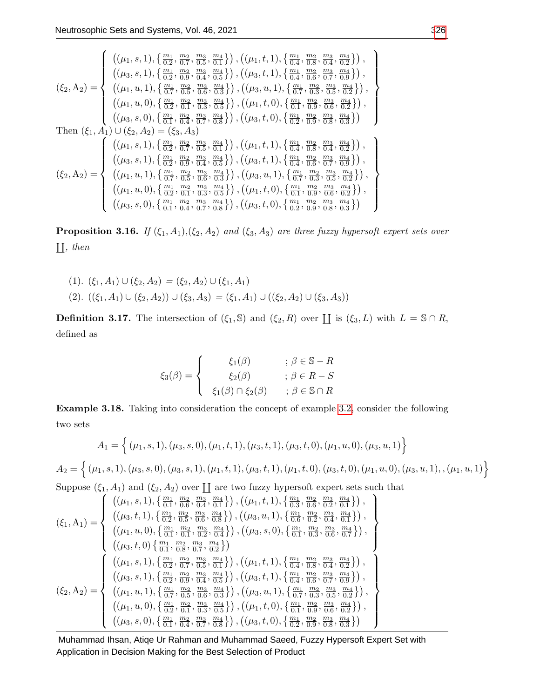$$
\left(\xi_{2},A_{2}\right)=\left\{\begin{array}{l} \left((\mu_{1},s,1),\left\{\frac{m_{1}}{0.2},\frac{m_{2}}{0.7},\frac{m_{3}}{0.5},\frac{m_{4}}{0.1}\right\}\right),\left((\mu_{1},t,1),\left\{\frac{m_{1}}{0.4},\frac{m_{2}}{0.8},\frac{m_{3}}{0.2},\frac{m_{4}}{0.2}\right\}\right),\\ \left((\mu_{3},s,1),\left\{\frac{m_{1}}{0.2},\frac{m_{2}}{0.9},\frac{m_{3}}{0.4},\frac{m_{4}}{0.5}\right\}\right),\left((\mu_{3},t,1),\left\{\frac{m_{1}}{0.4},\frac{m_{2}}{0.6},\frac{m_{3}}{0.7},\frac{m_{4}}{0.9}\right\}\right),\\ \left((\mu_{1},u,1),\left\{\frac{m_{1}}{0.7},\frac{m_{2}}{0.5},\frac{m_{3}}{0.6},\frac{m_{4}}{0.3}\right\}\right),\left((\mu_{3},u,1),\left\{\frac{m_{1}}{0.7},\frac{m_{2}}{0.3},\frac{m_{4}}{0.2}\right\}\right),\\ \left((\mu_{1},u,0),\left\{\frac{m_{1}}{0.2},\frac{m_{2}}{0.1},\frac{m_{3}}{0.3},\frac{m_{4}}{0.5}\right\}\right),\left((\mu_{1},t,0),\left\{\frac{m_{1}}{0.1},\frac{m_{2}}{0.9},\frac{m_{3}}{0.8},\frac{m_{4}}{0.2}\right\}\right),\\ \left((\mu_{3},s,0),\left\{\frac{m_{1}}{0.1},\frac{m_{2}}{0.4},\frac{m_{3}}{0.7},\frac{m_{4}}{0.8}\right\}\right),\left((\mu_{3},t,0),\left\{\frac{m_{1}}{0.2},\frac{m_{2}}{0.9},\frac{m_{3}}{0.8},\frac{m_{4}}{0.3}\right\}\right),\\ \left((\mu_{1},s,1),\left\{\frac{m_{1}}{0.2},\frac{m_{2}}{0.7},\frac{m_{3}}{0.5},\frac{m_{4}}{0.1}\right
$$

**Proposition 3.16.** If  $(\xi_1, A_1), (\xi_2, A_2)$  and  $(\xi_3, A_3)$  are three fuzzy hypersoft expert sets over  $\prod, then$ 

$$
(1). \ (\xi_1, A_1) \cup (\xi_2, A_2) = (\xi_2, A_2) \cup (\xi_1, A_1)
$$
  

$$
(2). \ ((\xi_1, A_1) \cup (\xi_2, A_2)) \cup (\xi_3, A_3) = (\xi_1, A_1) \cup ((\xi_2, A_2) \cup (\xi_3, A_3))
$$

**Definition 3.17.** The intersection of  $(\xi_1, \mathbb{S})$  and  $(\xi_2, R)$  over  $\coprod$  is  $(\xi_3, L)$  with  $L = \mathbb{S} \cap R$ , defined as

$$
\xi_3(\beta) = \begin{cases}\n\xi_1(\beta) & ; \beta \in \mathbb{S} - R \\
\xi_2(\beta) & ; \beta \in R - S \\
\xi_1(\beta) \cap \xi_2(\beta) & ; \beta \in \mathbb{S} \cap R\n\end{cases}
$$

Example 3.18. Taking into consideration the concept of example [3.2,](#page-4-0) consider the following two sets

$$
A_1 = \left\{ (\mu_1, s, 1), (\mu_3, s, 0), (\mu_1, t, 1), (\mu_3, t, 1), (\mu_3, t, 0), (\mu_1, u, 0), (\mu_3, u, 1) \right\}
$$
  
\n
$$
A_2 = \left\{ (\mu_1, s, 1), (\mu_3, s, 0), (\mu_3, s, 1), (\mu_1, t, 1), (\mu_3, t, 1), (\mu_1, t, 0), (\mu_3, t, 0), (\mu_1, u, 0), (\mu_3, u, 1), (\mu_1, u, 1) \right\}
$$
  
\nSuppose  $(\xi_1, \xi_1)$  and  $(\xi_2, \xi_3)$  over II are two fuzzy hypersoft expert sets such that

Suppose  $(\xi_1, A_1)$  and  $(\xi_2, A_2)$  over  $\coprod$  are two fuzzy hypersoft expert sets such that

$$
(\xi_1, A_1) = \begin{cases} ((\mu_1, s, 1), \{\frac{m_1}{0.1}, \frac{m_2}{0.6}, \frac{m_3}{0.4}, \frac{m_4}{0.1}\}), ((\mu_1, t, 1), \{\frac{m_1}{0.3}, \frac{m_2}{0.6}, \frac{m_3}{0.2}, \frac{m_4}{0.1}\}), \\ ((\mu_3, t, 1), \{\frac{m_1}{0.2}, \frac{m_2}{0.6}, \frac{m_3}{0.8}, \frac{m_4}{0.8}\}), ((\mu_3, u, 1), \{\frac{m_1}{0.1}, \frac{m_2}{0.2}, \frac{m_3}{0.4}, \frac{m_4}{0.1}\}), \\ ((\mu_1, u, 0), \{\frac{m_1}{0.1}, \frac{m_2}{0.2}, \frac{m_3}{0.4}, \frac{m_4}{0.1}\}), ((\mu_3, s, 0), \{\frac{m_1}{0.1}, \frac{m_2}{0.3}, \frac{m_3}{0.6}, \frac{m_4}{0.7}\}), \\ ((\mu_3, t, 0), \{\frac{m_1}{0.1}, \frac{m_2}{0.8}, \frac{m_3}{0.7}, \frac{m_4}{0.2}\}) , ((\mu_1, t, 1), \{\frac{m_1}{0.4}, \frac{m_2}{0.8}, \frac{m_3}{0.4}, \frac{m_4}{0.8}\}), \\ ((\mu_3, s, 1), \{\frac{m_1}{0.2}, \frac{m_2}{0.9}, \frac{m_3}{0.4}, \frac{m_4}{0.5}\}), ((\mu_3, t, 1), \{\frac{m_1}{0.4}, \frac{m_2}{0.6}, \frac{m_3}{0.7}, \frac{m_4}{0.9}\}), \\ ((\mu_1, u, 1), \{\frac{m_1}{0.7}, \frac{m_2}{0.5}, \frac{m_3}{0.6}, \frac{m_4}{0.3}\}), ((\mu_3, u, 1), \{\frac{m_1}{0.7}, \frac{m_2}{0.3}, \frac{m_4}{0.2}\}), \\ ((\mu_1, u, 0), \{\frac{m_1}{0.7}, \frac{m_2}{0.5}, \frac{m_3}{0.6}, \frac{m_4}{0.3}\}), ((\mu_1, t
$$

Muhammad Ihsan, Atiqe Ur Rahman and Muhammad Saeed, Fuzzy Hypersoft Expert Set with Application in Decision Making for the Best Selection of Product

 $\overline{ }$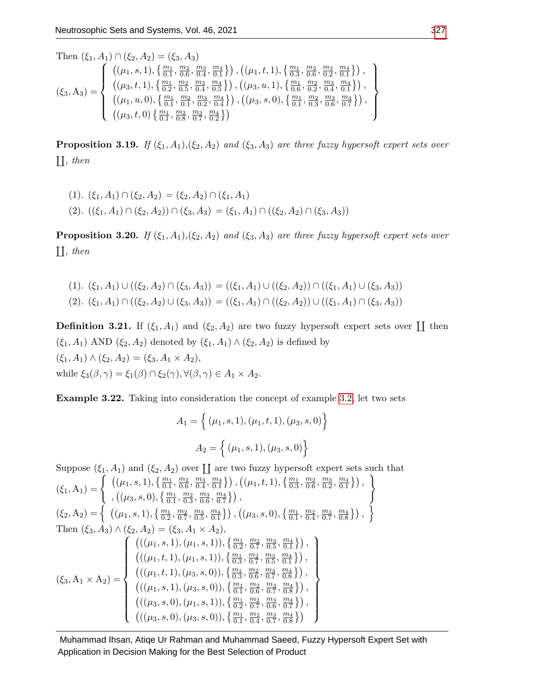Then  $(\xi_1, A_1) \cap (\xi_2, A_2)$  $(\xi_3, A_3) =$  $\sqrt{ }$  $\int$  $\overline{\mathcal{L}}$  $((\mu_1, s, 1), \{\frac{m_1}{0.1}, \frac{m_2}{0.6}, \frac{m_3}{0.4}, \frac{m_4}{0.1}\})$ ,  $((\mu_1, t, 1), \{\frac{m_1}{0.3}, \frac{m_2}{0.6}, \frac{m_3}{0.2}, \frac{m_4}{0.1}\})$ ,  $\big((\mu_3,t,1),\{\frac{m_1}{0.2},\frac{m_2}{0.5},\frac{m_3}{0.4},\frac{m_4}{0.5}\}\big)$  ,  $\big((\mu_3,u,1),\{\frac{m_1}{0.6},\frac{m_2}{0.2},\frac{m_3}{0.4},\frac{m_4}{0.1}\}\big)$ ,  $((\mu_1, u, 0), \{\frac{m_1}{0.1}, \frac{m_2}{0.1}, \frac{m_3}{0.2}, \frac{m_4}{0.4}\})$ ,  $((\mu_3, s, 0), \{\frac{m_1}{0.1}, \frac{m_2}{0.3}, \frac{m_3}{0.6}, \frac{m_4}{0.7}\})$ ,  $\left( (\mu_3, t, 0) \left\{ \frac{m_1}{0.1}, \frac{m_2}{0.8}, \frac{m_3}{0.7}, \frac{m_4}{0.2} \right\} \right)$  $\mathcal{L}$  $\overline{\mathcal{L}}$  $\int$ 

**Proposition 3.19.** If  $(\xi_1, A_1), (\xi_2, A_2)$  and  $(\xi_3, A_3)$  are three fuzzy hypersoft expert sets over  $\prod, then$ 

$$
(1). \ (\xi_1, A_1) \cap (\xi_2, A_2) = (\xi_2, A_2) \cap (\xi_1, A_1)
$$
  

$$
(2). \ ((\xi_1, A_1) \cap (\xi_2, A_2)) \cap (\xi_3, A_3) = (\xi_1, A_1) \cap ((\xi_2, A_2) \cap (\xi_3, A_3))
$$

**Proposition 3.20.** If  $(\xi_1, A_1), (\xi_2, A_2)$  and  $(\xi_3, A_3)$  are three fuzzy hypersoft expert sets over  $\prod, then$ 

$$
(1). \ (\xi_1, A_1) \cup ((\xi_2, A_2) \cap (\xi_3, A_3)) = ((\xi_1, A_1) \cup ((\xi_2, A_2)) \cap ((\xi_1, A_1) \cup (\xi_3, A_3))
$$
  

$$
(2). \ (\xi_1, A_1) \cap ((\xi_2, A_2) \cup (\xi_3, A_3)) = ((\xi_1, A_1) \cap ((\xi_2, A_2)) \cup ((\xi_1, A_1) \cap (\xi_3, A_3))
$$

**Definition 3.21.** If  $(\xi_1, A_1)$  and  $(\xi_2, A_2)$  are two fuzzy hypersoft expert sets over  $\coprod$  then  $(\xi_1, A_1)$  AND  $(\xi_2, A_2)$  denoted by  $(\xi_1, A_1) \wedge (\xi_2, A_2)$  is defined by  $(\xi_1, A_1) \wedge (\xi_2, A_2) = (\xi_3, A_1 \times A_2),$ while  $\xi_3(\beta, \gamma) = \xi_1(\beta) \cap \xi_2(\gamma), \forall (\beta, \gamma) \in A_1 \times A_2$ .

Example 3.22. Taking into consideration the concept of example [3.2,](#page-4-0) let two sets

$$
A_1 = \left\{ (\mu_1, s, 1), (\mu_1, t, 1), (\mu_3, s, 0) \right\}
$$

$$
A_2 = \left\{ (\mu_1, s, 1), (\mu_3, s, 0) \right\}
$$

Suppose  $(\xi_1, A_1)$  and  $(\xi_2, A_2)$  over  $\coprod$  are two fuzzy hypersoft expert sets such that  $(\xi_1, A_1) = \begin{cases} \left( (\mu_1, s, 1), \left\{ \frac{m_1}{0.1}, \frac{m_2}{0.6}, \frac{m_3}{0.4}, \frac{m_4}{0.1} \right\} \right), \left( (\mu_1, t, 1), \left\{ \frac{m_1}{0.3}, \frac{m_2}{0.6}, \frac{m_3}{0.2}, \frac{m_4}{0.1} \right\} \right), \end{cases}$  $, ((\mu_3, s, 0), \{\frac{m_1}{0.1}, \frac{m_2}{0.3}, \frac{m_3}{0.6}, \frac{m_4}{0.7}\})$ ,  $\lambda$  $(\xi_2, A_2) = \begin{cases} ((\mu_1, s, 1), \{\frac{m_1}{0.2}, \frac{m_2}{0.7}, \frac{m_3}{0.5}, \frac{m_4}{0.1}\}), ((\mu_3, s, 0), \{\frac{m_1}{0.1}, \frac{m_2}{0.4}, \frac{m_3}{0.7}, \frac{m_4}{0.8}\}), \end{cases}$ Then  $(\xi_3, A_3) \wedge (\xi_2, A_2) = (\xi_3, A_1 \times A_2),$  $(\xi_3, A_1 \times A_2) =$  $\sqrt{ }$  $\begin{array}{c} \hline \end{array}$   $\big(((\mu_1,s,1),(\mu_1,s,1)),\left\{\frac{m_1}{0.2},\frac{m_2}{0.7},\frac{m_3}{0.5},\frac{m_4}{0.1}\right\})$  ,  $\big( ((\mu_1,t,1),(\mu_1,s,1)), \big\{ \frac{m_1}{0.3},\frac{m_2}{0.7},\frac{m_3}{0.5},\frac{m_4}{0.1} \big\} \big)$ ,  $(((\mu_1, t, 1), (\mu_3, s, 0)), \{\frac{m_1}{0.3}, \frac{m_2}{0.6}, \frac{m_3}{0.7}, \frac{m_4}{0.8}\})$ ,  $(((\mu_1, s, 1),(\mu_3, s, 0)), \{\frac{m_1}{0.1},\frac{m_2}{0.6},\frac{m_3}{0.7},\frac{m_4}{0.8}\})$ ,  $(((\mu_3, s, 0), (\mu_1, s, 1)), \{\frac{m_1}{0.2}, \frac{m_2}{0.7}, \frac{m_3}{0.6}, \frac{m_4}{0.7}\})$ ,  $(((\mu_3, s, 0), (\mu_3, s, 0)), \{\frac{m_1}{0.1}, \frac{m_2}{0.4}, \frac{m_3}{0.7}, \frac{m_4}{0.8}\})$  $\mathcal{L}$   $\begin{array}{c} \hline \end{array}$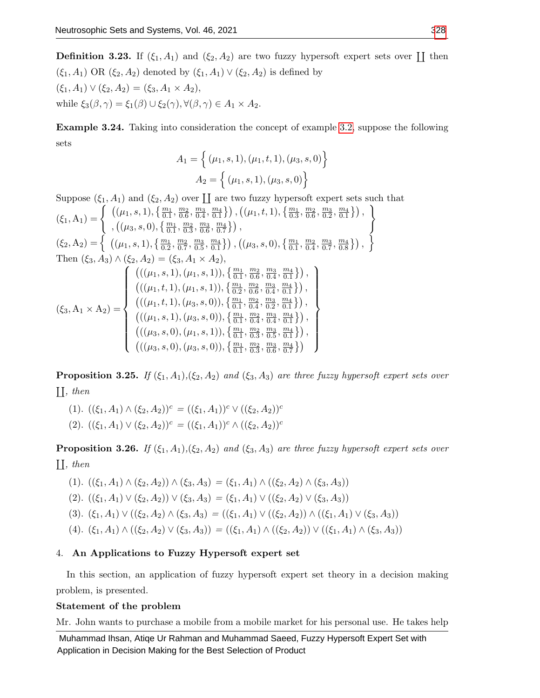**Definition 3.23.** If  $(\xi_1, A_1)$  and  $(\xi_2, A_2)$  are two fuzzy hypersoft expert sets over  $\coprod$  then  $(\xi_1, A_1)$  OR  $(\xi_2, A_2)$  denoted by  $(\xi_1, A_1) \vee (\xi_2, A_2)$  is defined by  $(\xi_1, A_1) \vee (\xi_2, A_2) = (\xi_3, A_1 \times A_2),$ while  $\xi_3(\beta, \gamma) = \xi_1(\beta) \cup \xi_2(\gamma), \forall (\beta, \gamma) \in A_1 \times A_2$ .

Example 3.24. Taking into consideration the concept of example [3.2,](#page-4-0) suppose the following sets

$$
A_1 = \left\{ (\mu_1, s, 1), (\mu_1, t, 1), (\mu_3, s, 0) \right\}
$$

$$
A_2 = \left\{ (\mu_1, s, 1), (\mu_3, s, 0) \right\}
$$

Suppose  $(\xi_1, A_1)$  and  $(\xi_2, A_2)$  over  $\coprod$  are two fuzzy hypersoft expert sets such that  $(\xi_1, A_1) = \begin{cases} \left( (\mu_1, s, 1), \{\frac{m_1}{0.1}, \frac{m_2}{0.6}, \frac{m_3}{0.4}, \frac{m_4}{0.1} \}\right), \left( (\mu_1, t, 1), \{\frac{m_1}{0.3}, \frac{m_2}{0.6}, \frac{m_3}{0.2}, \frac{m_4}{0.1} \}\right), \end{cases}$  $, ((\mu_3, s, 0), \{\frac{m_1}{0.1}, \frac{m_2}{0.3}, \frac{m_3}{0.6}, \frac{m_4}{0.7}\})$  $\lambda$  $(\xi_2, A_2) = \begin{cases} ((\mu_1, s, 1), \{\frac{m_1}{0.2}, \frac{m_2}{0.7}, \frac{m_3}{0.5}, \frac{m_4}{0.1}\}), ((\mu_3, s, 0), \{\frac{m_1}{0.1}, \frac{m_2}{0.4}, \frac{m_3}{0.7}, \frac{m_4}{0.8}\}), \end{cases}$ Then  $(\xi_3, A_3) \wedge (\xi_2, A_2) = (\xi_3, A_1 \times A_2),$  $(\xi_3, A_1 \times A_2) =$  $\sqrt{ }$  $\begin{array}{c} \hline \end{array}$   $(((\mu_1,s,1),(\mu_1,s,1)),\{\frac{m_1}{0.1},\frac{m_2}{0.6},\frac{m_3}{0.4},\frac{m_4}{0.1}\})$ ,  $(((\mu_1, t, 1), (\mu_1, s, 1)), \{\frac{m_1}{0.2}, \frac{m_2}{0.6}, \frac{m_3}{0.4}, \frac{m_4}{0.1}\})$ ,  $(((\mu_1, t, 1), (\mu_3, s, 0)), \{\frac{m_1}{0.1}, \frac{m_2}{0.4}, \frac{m_3}{0.2}, \frac{m_4}{0.1}\})$ ,  $\big(((\mu_1,s,1),(\mu_3,s,0)),\left\{\frac{m_1}{0.1},\frac{m_2}{0.4},\frac{m_3}{0.4},\frac{m_4}{0.1}\right\})$  ,  $\big(((\mu_3,s,0),(\mu_1,s,1)),\left\{\frac{m_1}{0.1},\frac{m_2}{0.3},\frac{m_3}{0.5},\frac{m_4}{0.1}\right\})$  ,  $\big(((\mu_3,s,0),(\mu_3,s,0)),\left\{\frac{m_1}{0.1},\frac{m_2}{0.3},\frac{m_3}{0.6},\frac{m_4}{0.7}\right\}\big)$  $\mathcal{L}$   $\begin{array}{c} \hline \end{array}$ 

**Proposition 3.25.** If  $(\xi_1, A_1), (\xi_2, A_2)$  and  $(\xi_3, A_3)$  are three fuzzy hypersoft expert sets over  $\prod, then$ 

(1).  $((\xi_1, A_1) \wedge (\xi_2, A_2))^c = ((\xi_1, A_1))^c \vee ((\xi_2, A_2))^c$ (2).  $((\xi_1, A_1) \vee (\xi_2, A_2))^c = ((\xi_1, A_1))^c \wedge ((\xi_2, A_2))^c$ 

**Proposition 3.26.** If  $(\xi_1, A_1), (\xi_2, A_2)$  and  $(\xi_3, A_3)$  are three fuzzy hypersoft expert sets over  $\prod, then$ 

- (1).  $((\xi_1, A_1) \wedge (\xi_2, A_2)) \wedge (\xi_3, A_3) = (\xi_1, A_1) \wedge ((\xi_2, A_2) \wedge (\xi_3, A_3))$ (2).  $((\xi_1, A_1) \vee (\xi_2, A_2)) \vee (\xi_3, A_3) = (\xi_1, A_1) \vee ((\xi_2, A_2) \vee (\xi_3, A_3))$ (3).  $(\xi_1, A_1) \vee ((\xi_2, A_2) \wedge (\xi_3, A_3) = ((\xi_1, A_1) \vee ((\xi_2, A_2)) \wedge ((\xi_1, A_1) \vee (\xi_3, A_3)))$
- (4).  $(\xi_1, A_1) \wedge ((\xi_2, A_2) \vee (\xi_3, A_3)) = ((\xi_1, A_1) \wedge ((\xi_2, A_2)) \vee ((\xi_1, A_1) \wedge (\xi_3, A_3))$

# 4. An Applications to Fuzzy Hypersoft expert set

In this section, an application of fuzzy hypersoft expert set theory in a decision making problem, is presented.

# Statement of the problem

Mr. John wants to purchase a mobile from a mobile market for his personal use. He takes help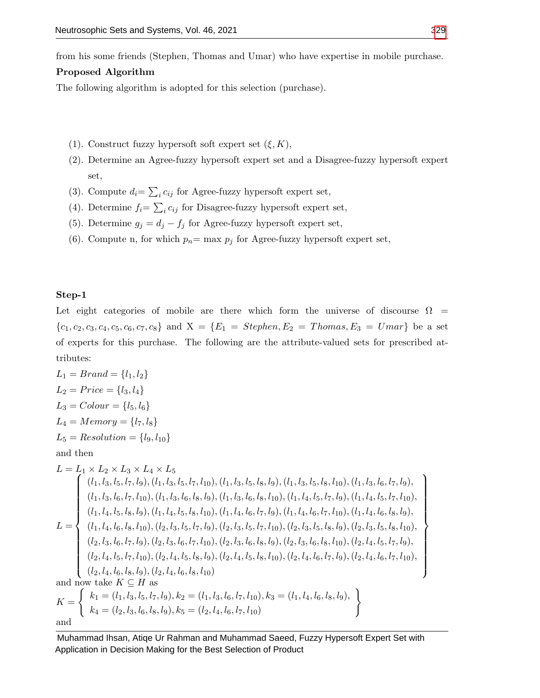from his some friends (Stephen, Thomas and Umar) who have expertise in mobile purchase.

# Proposed Algorithm

The following algorithm is adopted for this selection (purchase).

- (1). Construct fuzzy hypersoft soft expert set  $(\xi, K)$ ,
- (2). Determine an Agree-fuzzy hypersoft expert set and a Disagree-fuzzy hypersoft expert set,
- (3). Compute  $d_i = \sum_i c_{ij}$  for Agree-fuzzy hypersoft expert set,
- (4). Determine  $f_i = \sum_i c_{ij}$  for Disagree-fuzzy hypersoft expert set,
- (5). Determine  $g_j = d_j f_j$  for Agree-fuzzy hypersoft expert set,
- (6). Compute n, for which  $p_n = \max p_j$  for Agree-fuzzy hypersoft expert set,

## Step-1

Let eight categories of mobile are there which form the universe of discourse  $\Omega$  =  ${c_1, c_2, c_3, c_4, c_5, c_6, c_7, c_8}$  and  $X = {E_1 = Stephen, E_2 = Thomas, E_3 = Umar}$  be a set of experts for this purchase. The following are the attribute-valued sets for prescribed attributes:

$$
L_1 = Brand = \{l_1, l_2\}
$$
\n
$$
L_2 = Price = \{l_3, l_4\}
$$
\n
$$
L_3 = Color = \{l_5, l_6\}
$$
\n
$$
L_4 = Memory = \{l_7, l_8\}
$$
\n
$$
L_5 = Resolution = \{l_9, l_{10}\}
$$
\nand then\n
$$
L = L_1 \times L_2 \times L_3 \times L_4 \times L_5
$$
\n
$$
\begin{cases}\n(l_1, l_3, l_5, l_7, l_9), (l_1, l_3, l_5, l_7, l_{10}), (l_1, l_3, l_5, l_8, l_9), (l_1, l_4, l_5, l_7, l_{10}), (l_1, l_4, l_5, l_7, l_{10}), \\
(l_1, l_3, l_6, l_7, l_{10}), (l_1, l_3, l_6, l_8, l_{10}), (l_1, l_4, l_5, l_7, l_{10}), (l_1, l_4, l_5, l_7, l_{10}), \\
(l_1, l_4, l_5, l_8, l_9), (l_1, l_4, l_5, l_8, l_{10}), (l_1, l_4, l_6, l_7, l_{10}), (l_1, l_4, l_6, l_8, l_{10}), \\
(l_1, l_4, l_6, l_8, l_{10}), (l_2, l_3, l_5, l_7, l_{10}), (l_2, l_3, l_5, l_7, l_{10}), (l_2, l_3, l_5, l_8, l_{10}), (l_2, l_3, l_5, l_8, l_{10}), \\
(l_2, l_3, l_6, l_7, l_{10}), (l_2, l_3, l_6, l_7, l_{10}), (l_2, l_3, l_6, l_8, l_{10}), (l_2, l_3, l_6, l_8, l_{10}), (l_2, l_4, l_6, l_7, l_{10}), \\
(l_2, l_4, l_5, l_7, l_{10}), (l_2, l_4, l_5, l_8, l_{10}), (l_2, l_4, l_6, l_7, l_{10}), (l_2, l_4, l_6, l_7,
$$

 $\mathcal{L}$ 

 $\begin{array}{c} \hline \end{array}$ 

 $\begin{array}{c} \hline \end{array}$ 

Muhammad Ihsan, Atiqe Ur Rahman and Muhammad Saeed, Fuzzy Hypersoft Expert Set with Application in Decision Making for the Best Selection of Product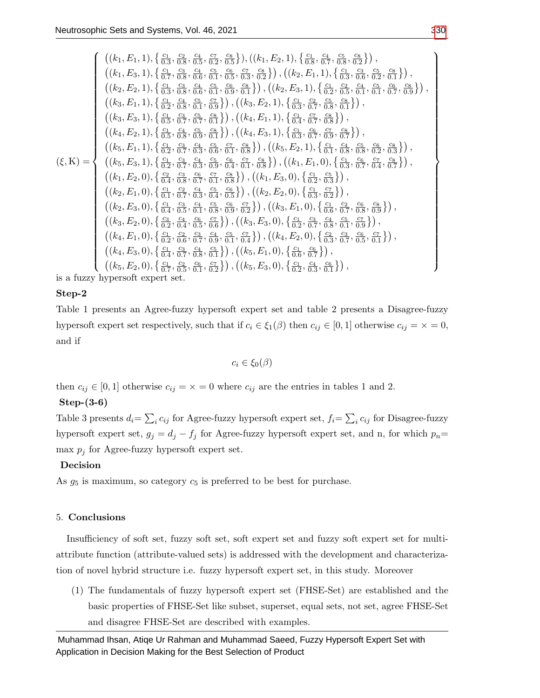$$
\begin{pmatrix}\n\left((k_1, E_1, 1), \{\frac{c_1}{6_3}, \frac{c_2}{6_3}, \frac{c_1}{6_4}, \frac{c_2}{6_2}, \frac{c_3}{6_3}\}\right),\n\left((k_1, E_3, 1), \{\frac{c_1}{6_3}, \frac{c_3}{6_4}, \frac{c_4}{6_5}, \frac{c_5}{6_5}, \frac{c_6}{6_5}, \frac{c_7}{6_5}, \frac{c_8}{6_5}\}\right),\n\left((k_2, E_2, 1), \{\frac{c_1}{6_3}, \frac{c_3}{6_3}, \frac{c_4}{6_4}, \frac{c_5}{6_5}, \frac{c_6}{6_4}, \frac{c_7}{6_3}, \frac{c_8}{6_3}, \frac{c_8}{6_4}, \frac{c_7}{6_4}, \frac{c_8}{6_3}, \frac{c_4}{6_4}, \frac{c_5}{6_4}, \frac{c_6}{6_4}, \frac{c_7}{6_4}, \frac{c_8}{6_4}, \frac{c_8}{6_4}, \frac{c_8}{6_4}, \frac{c_8}{6_4}, \frac{c_8}{6_4}, \frac{c_8}{6_4}, \frac{c_8}{6_4}, \frac{c_8}{6_4}, \frac{c_8}{6_4}, \frac{c_8}{6_4}, \frac{c_8}{6_4}, \frac{c_8}{6_4}, \frac{c_8}{6_4}, \frac{c_8}{6_4}, \frac{c_8}{6_4}, \frac{c_8}{6_4}, \frac{c_8}{6_4}, \frac{c_8}{6_4}, \frac{c_8}{6_5}, \frac{c_8}{6_5}, \frac{c_8}{6_5}, \frac{c_8}{6_5}, \frac{c_8}{6_5}, \frac{c_8}{6_5}, \frac{c_8}{6_5}, \frac{c_8}{6_4}, \frac{c_8}{6_4}, \frac{c_5}{6_5}, \frac{c_8}{6_4}, \frac{c_5}{6_4}, \frac{c_8}{6_5}, \frac{c_8}{6_4}, \frac{c_7}{6_4}, \frac{c_8}{6_5}, \frac{c_8}{6_4}, \frac{c_7}{6_4}, \frac{c_8}{6_5}, \frac{c_
$$

is a fuzzy hypersoft expert set.

# Step-2

Table 1 presents an Agree-fuzzy hypersoft expert set and table 2 presents a Disagree-fuzzy hypersoft expert set respectively, such that if  $c_i \in \xi_1(\beta)$  then  $c_{ij} \in [0, 1]$  otherwise  $c_{ij} = \times = 0$ , and if

$$
c_i \in \xi_0(\beta)
$$

then  $c_{ij} \in [0,1]$  otherwise  $c_{ij} = \times = 0$  where  $c_{ij}$  are the entries in tables 1 and 2.

# Step-(3-6)

Table 3 presents  $d_i = \sum_i c_{ij}$  for Agree-fuzzy hypersoft expert set,  $f_i = \sum_i c_{ij}$  for Disagree-fuzzy hypersoft expert set,  $g_j = d_j - f_j$  for Agree-fuzzy hypersoft expert set, and n, for which  $p_n =$ max  $p_i$  for Agree-fuzzy hypersoft expert set.

# Decision

As  $g_5$  is maximum, so category  $c_5$  is preferred to be best for purchase.

# 5. Conclusions

Insufficiency of soft set, fuzzy soft set, soft expert set and fuzzy soft expert set for multiattribute function (attribute-valued sets) is addressed with the development and characterization of novel hybrid structure i.e. fuzzy hypersoft expert set, in this study. Moreover

(1) The fundamentals of fuzzy hypersoft expert set (FHSE-Set) are established and the basic properties of FHSE-Set like subset, superset, equal sets, not set, agree FHSE-Set and disagree FHSE-Set are described with examples.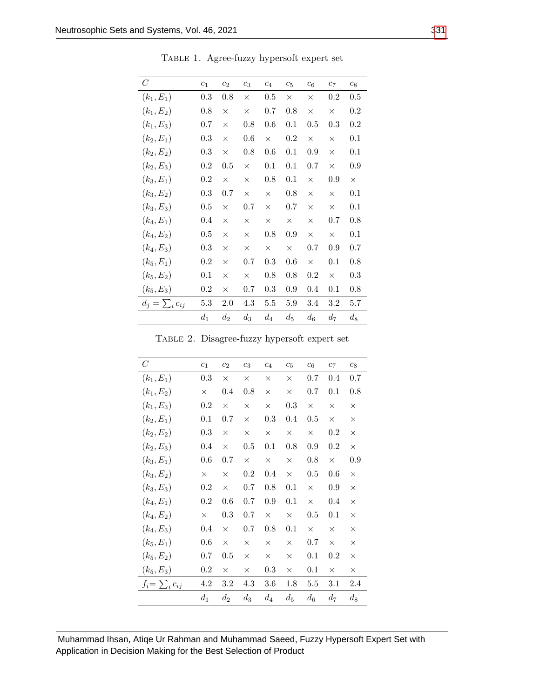| $\,$ $C$              | $c_1$   | c <sub>2</sub> | $c_3$    | $\mathfrak{c}_4$ | c <sub>5</sub> | c <sub>6</sub> | $c_7$    | $c_8$    |
|-----------------------|---------|----------------|----------|------------------|----------------|----------------|----------|----------|
| $(k_1, E_1)$          | $0.3\,$ | 0.8            | $\times$ | 0.5              | $\times$       | $\times$       | $0.2\,$  | 0.5      |
| $(k_1, E_2)$          | 0.8     | $\times$       | $\times$ | 0.7              | 0.8            | $\times$       | $\times$ | $0.2\,$  |
| $(k_1, E_3)$          | 0.7     | $\times$       | $0.8\,$  | 0.6              | 0.1            | $0.5\,$        | 0.3      | $0.2\,$  |
| $(k_2, E_1)$          | 0.3     | $\times$       | 0.6      | $\times$         | $0.2\,$        | $\times$       | $\times$ | 0.1      |
| $(k_2, E_2)$          | 0.3     | $\times$       | $0.8\,$  | 0.6              | 0.1            | 0.9            | $\times$ | 0.1      |
| $(k_2, E_3)$          | $0.2\,$ | $0.5\,$        | $\times$ | 0.1              | 0.1            | 0.7            | $\times$ | 0.9      |
| $(k_3, E_1)$          | $0.2\,$ | $\times$       | $\times$ | 0.8              | 0.1            | $\times$       | 0.9      | $\times$ |
| $(k_3, E_2)$          | 0.3     | 0.7            | $\times$ | $\times$         | 0.8            | $\times$       | $\times$ | 0.1      |
| $(k_3, E_3)$          | 0.5     | $\times$       | $0.7\,$  | $\times$         | 0.7            | $\times$       | $\times$ | 0.1      |
| $(k_4, E_1)$          | 0.4     | $\times$       | $\times$ | $\times$         | $\times$       | $\times$       | 0.7      | 0.8      |
| $(k_4, E_2)$          | 0.5     | $\times$       | $\times$ | 0.8              | 0.9            | $\times$       | $\times$ | 0.1      |
| $(k_4, E_3)$          | 0.3     | $\times$       | $\times$ | $\times$         | $\times$       | 0.7            | 0.9      | 0.7      |
| $(k_5, E_1)$          | $0.2\,$ | $\times$       | 0.7      | 0.3              | 0.6            | $\times$       | 0.1      | 0.8      |
| $(k_5, E_2)$          | 0.1     | $\times$       | $\times$ | 0.8              | 0.8            | 0.2            | $\times$ | $0.3\,$  |
| $(k_5, E_3)$          | $0.2\,$ | $\times$       | 0.7      | 0.3              | 0.9            | 0.4            | 0.1      | 0.8      |
| $d_j = \sum_i c_{ij}$ | 5.3     | 2.0            | 4.3      | 5.5              | 5.9            | 3.4            | 3.2      | 5.7      |
|                       | $d_1$   | $d_2$          | $d_3$    | $d_4$            | $d_5$          | $d_6$          | $d_{7}$  | $d_8$    |

Table 1. Agree-fuzzy hypersoft expert set

| TABLE 2. Disagree-fuzzy hypersoft expert set |  |  |
|----------------------------------------------|--|--|
|                                              |  |  |
|                                              |  |  |

| $\,C$                 | c <sub>1</sub> | c <sub>2</sub> | $c_3$    | c <sub>4</sub> | $c_5$    | c <sub>6</sub> | c <sub>7</sub> | $c_8$    |
|-----------------------|----------------|----------------|----------|----------------|----------|----------------|----------------|----------|
| $(k_1, E_1)$          | 0.3            | $\times$       | $\times$ | $\times$       | $\times$ | 0.7            | 0.4            | 0.7      |
| $(k_1, E_2)$          | $\times$       | $0.4\,$        | 0.8      | $\times$       | $\times$ | 0.7            | 0.1            | 0.8      |
| $(k_1, E_3)$          | $0.2\,$        | $\times$       | $\times$ | $\times$       | 0.3      | $\times$       | $\times$       | $\times$ |
| $(k_2, E_1)$          | 0.1            | 0.7            | $\times$ | 0.3            | 0.4      | 0.5            | $\times$       | X        |
| $(k_2, E_2)$          | 0.3            | $\times$       | $\times$ | $\times$       | $\times$ | $\times$       | $0.2\,$        | $\times$ |
| $(k_2, E_3)$          | 0.4            | $\times$       | $0.5\,$  | 0.1            | 0.8      | 0.9            | $0.2\,$        | $\times$ |
| $(k_3, E_1)$          | 0.6            | 0.7            | $\times$ | $\times$       | $\times$ | 0.8            | $\times$       | 0.9      |
| $(k_3, E_2)$          | $\times$       | $\times$       | $0.2\,$  | 0.4            | $\times$ | $0.5\,$        | 0.6            | $\times$ |
| $(k_3, E_3)$          | 0.2            | $\times$       | 0.7      | 0.8            | 0.1      | $\times$       | 0.9            | $\times$ |
| $(k_4, E_1)$          | 0.2            | 0.6            | 0.7      | 0.9            | 0.1      | $\times$       | 0.4            | $\times$ |
| $(k_4, E_2)$          | $\times$       | 0.3            | 0.7      | $\times$       | $\times$ | $0.5\,$        | 0.1            | ×        |
| $(k_4, E_3)$          | 0.4            | $\times$       | 0.7      | 0.8            | 0.1      | $\times$       | $\times$       | X        |
| $(k_5, E_1)$          | 0.6            | $\times$       | X        | X              | $\times$ | 0.7            | $\times$       | X        |
| $(k_5, E_2)$          | 0.7            | $0.5\,$        | $\times$ | $\times$       | $\times$ | 0.1            | $0.2\,$        | $\times$ |
| $(k_5, E_3)$          | $0.2\,$        | ×              | X        | 0.3            | $\times$ | 0.1            | X              | X        |
| $f_i = \sum_i c_{ij}$ | 4.2            | $3.2\,$        | 4.3      | 3.6            | 1.8      | 5.5            | 3.1            | 2.4      |
|                       | $d_1$          | $d_2$          | $d_3$    | $d_4$          | $d_5$    | $d_6$          | $d_7$          | $d_8$    |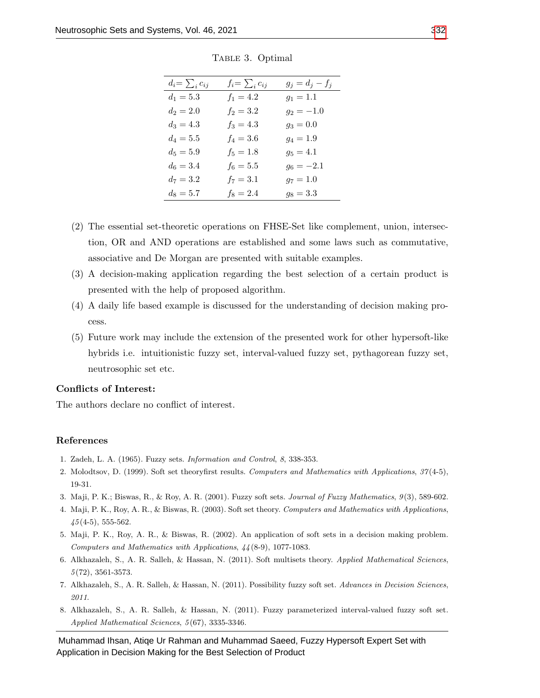| $d_i = \sum_i c_{ij}$ | $f_i = \sum_i c_{ij}$ | $g_j = d_j - f_j$ |
|-----------------------|-----------------------|-------------------|
| $d_1 = 5.3$           | $f_1 = 4.2$           | $g_1 = 1.1$       |
| $d_2 = 2.0$           | $f_2 = 3.2$           | $g_2 = -1.0$      |
| $d_3 = 4.3$           | $f_3 = 4.3$           | $g_3 = 0.0$       |
| $d_4 = 5.5$           | $f_4 = 3.6$           | $g_4 = 1.9$       |
| $d_5 = 5.9$           | $f_5 = 1.8$           | $g_5 = 4.1$       |
| $d_6 = 3.4$           | $f_6 = 5.5$           | $g_6 = -2.1$      |
| $d_7 = 3.2$           | $f_7 = 3.1$           | $g_7 = 1.0$       |
| $d_8 = 5.7$           | $f_8 = 2.4$           | $g_8 = 3.3$       |
|                       |                       |                   |

TABLE 3. Optimal

- (2) The essential set-theoretic operations on FHSE-Set like complement, union, intersection, OR and AND operations are established and some laws such as commutative, associative and De Morgan are presented with suitable examples.
- (3) A decision-making application regarding the best selection of a certain product is presented with the help of proposed algorithm.
- (4) A daily life based example is discussed for the understanding of decision making process.
- (5) Future work may include the extension of the presented work for other hypersoft-like hybrids i.e. intuitionistic fuzzy set, interval-valued fuzzy set, pythagorean fuzzy set, neutrosophic set etc.

## Conflicts of Interest:

The authors declare no conflict of interest.

## References

- <span id="page-14-0"></span>1. Zadeh, L. A. (1965). Fuzzy sets. Information and Control, 8, 338-353.
- <span id="page-14-1"></span>2. Molodtsov, D. (1999). Soft set theoryfirst results. Computers and Mathematics with Applications, 37 (4-5), 19-31.
- <span id="page-14-2"></span>3. Maji, P. K.; Biswas, R., & Roy, A. R. (2001). Fuzzy soft sets. Journal of Fuzzy Mathematics, 9 (3), 589-602.
- <span id="page-14-3"></span>4. Maji, P. K., Roy, A. R., & Biswas, R. (2003). Soft set theory. Computers and Mathematics with Applications,  $45(4-5)$ , 555-562.
- 5. Maji, P. K., Roy, A. R., & Biswas, R. (2002). An application of soft sets in a decision making problem. Computers and Mathematics with Applications, 44 (8-9), 1077-1083.
- 6. Alkhazaleh, S., A. R. Salleh, & Hassan, N. (2011). Soft multisets theory. Applied Mathematical Sciences, 5 (72), 3561-3573.
- 7. Alkhazaleh, S., A. R. Salleh, & Hassan, N. (2011). Possibility fuzzy soft set. Advances in Decision Sciences, 2011.
- 8. Alkhazaleh, S., A. R. Salleh, & Hassan, N. (2011). Fuzzy parameterized interval-valued fuzzy soft set. Applied Mathematical Sciences, 5 (67), 3335-3346.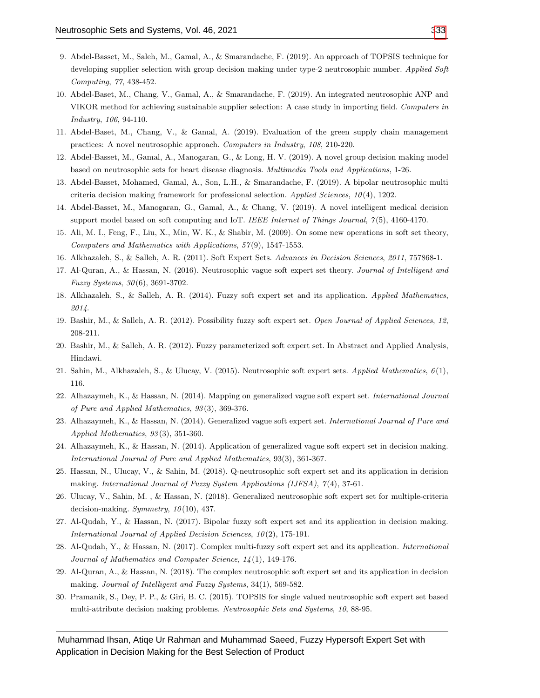- 9. Abdel-Basset, M., Saleh, M., Gamal, A., & Smarandache, F. (2019). An approach of TOPSIS technique for developing supplier selection with group decision making under type-2 neutrosophic number. Applied Soft Computing, 77, 438-452.
- <span id="page-15-16"></span>10. Abdel-Baset, M., Chang, V., Gamal, A., & Smarandache, F. (2019). An integrated neutrosophic ANP and VIKOR method for achieving sustainable supplier selection: A case study in importing field. Computers in Industry, 106, 94-110.
- 11. Abdel-Baset, M., Chang, V., & Gamal, A. (2019). Evaluation of the green supply chain management practices: A novel neutrosophic approach. Computers in Industry, 108, 210-220.
- 12. Abdel-Basset, M., Gamal, A., Manogaran, G., & Long, H. V. (2019). A novel group decision making model based on neutrosophic sets for heart disease diagnosis. Multimedia Tools and Applications, 1-26.
- 13. Abdel-Basset, Mohamed, Gamal, A., Son, L.H., & Smarandache, F. (2019). A bipolar neutrosophic multi criteria decision making framework for professional selection. Applied Sciences,  $10(4)$ , 1202.
- 14. Abdel-Basset, M., Manogaran, G., Gamal, A., & Chang, V. (2019). A novel intelligent medical decision support model based on soft computing and IoT. IEEE Internet of Things Journal,  $7(5)$ , 4160-4170.
- <span id="page-15-0"></span>15. Ali, M. I., Feng, F., Liu, X., Min, W. K., & Shabir, M. (2009). On some new operations in soft set theory, Computers and Mathematics with Applications, 57 (9), 1547-1553.
- <span id="page-15-1"></span>16. Alkhazaleh, S., & Salleh, A. R. (2011). Soft Expert Sets. Advances in Decision Sciences, 2011, 757868-1.
- <span id="page-15-2"></span>17. Al-Quran, A., & Hassan, N. (2016). Neutrosophic vague soft expert set theory. Journal of Intelligent and Fuzzy Systems, 30 (6), 3691-3702.
- <span id="page-15-3"></span>18. Alkhazaleh, S., & Salleh, A. R. (2014). Fuzzy soft expert set and its application. Applied Mathematics, 2014.
- <span id="page-15-4"></span>19. Bashir, M., & Salleh, A. R. (2012). Possibility fuzzy soft expert set. Open Journal of Applied Sciences, 12, 208-211.
- <span id="page-15-5"></span>20. Bashir, M., & Salleh, A. R. (2012). Fuzzy parameterized soft expert set. In Abstract and Applied Analysis, Hindawi.
- <span id="page-15-6"></span>21. Sahin, M., Alkhazaleh, S., & Ulucay, V. (2015). Neutrosophic soft expert sets. Applied Mathematics, 6 (1), 116.
- <span id="page-15-7"></span>22. Alhazaymeh, K., & Hassan, N. (2014). Mapping on generalized vague soft expert set. International Journal of Pure and Applied Mathematics, 93 (3), 369-376.
- <span id="page-15-8"></span>23. Alhazaymeh, K., & Hassan, N. (2014). Generalized vague soft expert set. International Journal of Pure and Applied Mathematics, 93 (3), 351-360.
- <span id="page-15-9"></span>24. Alhazaymeh, K., & Hassan, N. (2014). Application of generalized vague soft expert set in decision making. International Journal of Pure and Applied Mathematics, 93(3), 361-367.
- <span id="page-15-10"></span>25. Hassan, N., Ulucay, V., & Sahin, M. (2018). Q-neutrosophic soft expert set and its application in decision making. International Journal of Fuzzy System Applications (IJFSA), 7(4), 37-61.
- <span id="page-15-11"></span>26. Ulucay, V., Sahin, M. , & Hassan, N. (2018). Generalized neutrosophic soft expert set for multiple-criteria decision-making. Symmetry,  $10(10)$ , 437.
- <span id="page-15-12"></span>27. Al-Qudah, Y., & Hassan, N. (2017). Bipolar fuzzy soft expert set and its application in decision making. International Journal of Applied Decision Sciences, 10(2), 175-191.
- <span id="page-15-13"></span>28. Al-Qudah, Y., & Hassan, N. (2017). Complex multi-fuzzy soft expert set and its application. International Journal of Mathematics and Computer Science, 14 (1), 149-176.
- <span id="page-15-14"></span>29. Al-Quran, A., & Hassan, N. (2018). The complex neutrosophic soft expert set and its application in decision making. Journal of Intelligent and Fuzzy Systems, 34(1), 569-582.
- <span id="page-15-15"></span>30. Pramanik, S., Dey, P. P., & Giri, B. C. (2015). TOPSIS for single valued neutrosophic soft expert set based multi-attribute decision making problems. Neutrosophic Sets and Systems, 10, 88-95.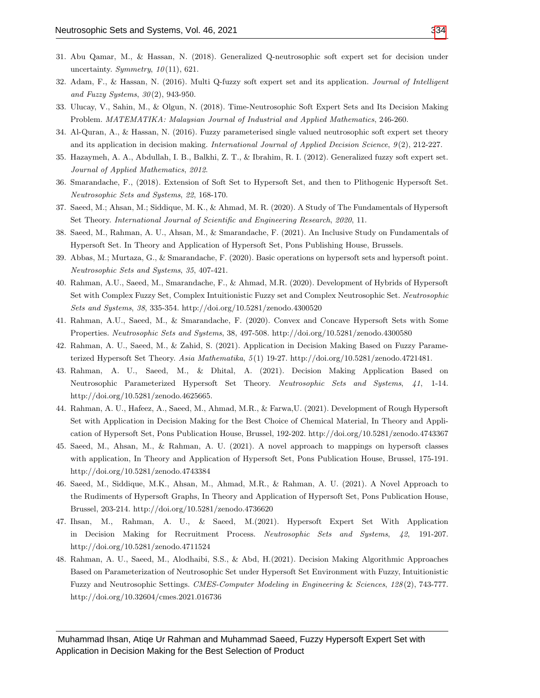- <span id="page-16-0"></span>31. Abu Qamar, M., & Hassan, N. (2018). Generalized Q-neutrosophic soft expert set for decision under uncertainty. Symmetry,  $10(11)$ , 621.
- <span id="page-16-1"></span>32. Adam, F., & Hassan, N. (2016). Multi Q-fuzzy soft expert set and its application. Journal of Intelligent and Fuzzy Systems,  $30(2)$ , 943-950.
- <span id="page-16-2"></span>33. Ulucay, V., Sahin, M., & Olgun, N. (2018). Time-Neutrosophic Soft Expert Sets and Its Decision Making Problem. MATEMATIKA: Malaysian Journal of Industrial and Applied Mathematics, 246-260.
- <span id="page-16-3"></span>34. Al-Quran, A., & Hassan, N. (2016). Fuzzy parameterised single valued neutrosophic soft expert set theory and its application in decision making. International Journal of Applied Decision Science, 9(2), 212-227.
- <span id="page-16-4"></span>35. Hazaymeh, A. A., Abdullah, I. B., Balkhi, Z. T., & Ibrahim, R. I. (2012). Generalized fuzzy soft expert set. Journal of Applied Mathematics, 2012.
- <span id="page-16-5"></span>36. Smarandache, F., (2018). Extension of Soft Set to Hypersoft Set, and then to Plithogenic Hypersoft Set. Neutrosophic Sets and Systems, 22, 168-170.
- <span id="page-16-6"></span>37. Saeed, M.; Ahsan, M.; Siddique, M. K., & Ahmad, M. R. (2020). A Study of The Fundamentals of Hypersoft Set Theory. International Journal of Scientific and Engineering Research, 2020, 11.
- <span id="page-16-7"></span>38. Saeed, M., Rahman, A. U., Ahsan, M., & Smarandache, F. (2021). An Inclusive Study on Fundamentals of Hypersoft Set. In Theory and Application of Hypersoft Set, Pons Publishing House, Brussels.
- <span id="page-16-8"></span>39. Abbas, M.; Murtaza, G., & Smarandache, F. (2020). Basic operations on hypersoft sets and hypersoft point. Neutrosophic Sets and Systems, 35, 407-421.
- <span id="page-16-9"></span>40. Rahman, A.U., Saeed, M., Smarandache, F., & Ahmad, M.R. (2020). Development of Hybrids of Hypersoft Set with Complex Fuzzy Set, Complex Intuitionistic Fuzzy set and Complex Neutrosophic Set. Neutrosophic Sets and Systems, 38, 335-354. http://doi.org/10.5281/zenodo.4300520
- <span id="page-16-10"></span>41. Rahman, A.U., Saeed, M., & Smarandache, F. (2020). Convex and Concave Hypersoft Sets with Some Properties. Neutrosophic Sets and Systems, 38, 497-508. http://doi.org/10.5281/zenodo.4300580
- <span id="page-16-11"></span>42. Rahman, A. U., Saeed, M., & Zahid, S. (2021). Application in Decision Making Based on Fuzzy Parameterized Hypersoft Set Theory. Asia Mathematika, 5 (1) 19-27. http://doi.org/10.5281/zenodo.4721481.
- 43. Rahman, A. U., Saeed, M., & Dhital, A. (2021). Decision Making Application Based on Neutrosophic Parameterized Hypersoft Set Theory. Neutrosophic Sets and Systems, 41, 1-14. http://doi.org/10.5281/zenodo.4625665.
- 44. Rahman, A. U., Hafeez, A., Saeed, M., Ahmad, M.R., & Farwa,U. (2021). Development of Rough Hypersoft Set with Application in Decision Making for the Best Choice of Chemical Material, In Theory and Application of Hypersoft Set, Pons Publication House, Brussel, 192-202. http://doi.org/10.5281/zenodo.4743367
- 45. Saeed, M., Ahsan, M., & Rahman, A. U. (2021). A novel approach to mappings on hypersoft classes with application, In Theory and Application of Hypersoft Set, Pons Publication House, Brussel, 175-191. http://doi.org/10.5281/zenodo.4743384
- 46. Saeed, M., Siddique, M.K., Ahsan, M., Ahmad, M.R., & Rahman, A. U. (2021). A Novel Approach to the Rudiments of Hypersoft Graphs, In Theory and Application of Hypersoft Set, Pons Publication House, Brussel, 203-214. http://doi.org/10.5281/zenodo.4736620
- 47. Ihsan, M., Rahman, A. U., & Saeed, M.(2021). Hypersoft Expert Set With Application in Decision Making for Recruitment Process. Neutrosophic Sets and Systems, 42, 191-207. http://doi.org/10.5281/zenodo.4711524
- 48. Rahman, A. U., Saeed, M., Alodhaibi, S.S., & Abd, H.(2021). Decision Making Algorithmic Approaches Based on Parameterization of Neutrosophic Set under Hypersoft Set Environment with Fuzzy, Intuitionistic Fuzzy and Neutrosophic Settings. CMES-Computer Modeling in Engineering & Sciences, 128 (2), 743-777. http://doi.org/10.32604/cmes.2021.016736